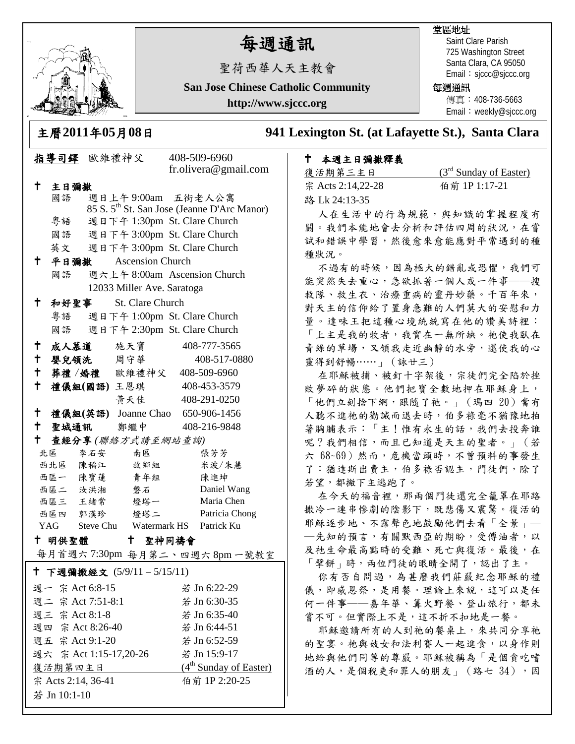

# 每週通訊

聖荷西華人天主教會

**San Jose Chinese Catholic Community**

**http://www.sjccc.org**

# 堂區地址

Saint Clare Parish 725 Washington Street Santa Clara, CA 95050 Email: sjccc@sjccc.org

### 每週通訊

傳直: 408-736-5663 Email: weekly@sjccc.org

主曆**2011**年**05**月**08**日 **941 Lexington St. (at Lafayette St.), Santa Clara** 

# 本週主日彌撒釋義

| 復活期第三主日           | $(3rd$ Sunday of Easter) |
|-------------------|--------------------------|
| 宗 Acts 2:14,22-28 | 伯前 1P 1:17-21            |
| 路 Lk 24:13-35     |                          |

人在生活中的行為規範,與知識的掌握程度有 關。我們本能地會去分析和評估四周的狀況,在嘗 試和錯誤中學習,然後愈來愈能應對平常遇到的種 種狀況。

不過有的時候,因為極大的錯亂或恐懼,我們可 能突然失去重心,急欲抓著一個人或一件事——搜 救隊、救生衣、治療重病的靈丹妙藥。千百年來, 對天主的信仰給了置身急難的人們莫大的安慰和力 量。達味王把這種心境統統寫在他的讚美詩裡: 「上主是我的牧者,我實在一無所缺。祂使我臥在 青綠的草場,又領我走近幽靜的水旁,還使我的心 靈得到舒暢……」(詠廿三)

在耶穌被捕、被釘十字架後,宗徒們完全陷於挫 敗夢碎的狀態。他們把寶全數地押在耶穌身上, 「他們立刻捨下網,跟隨了祂。」(瑪四 20)當有 人聽不進祂的勸誡而退去時,伯多祿毫不猶豫地拍 著胸脯表示:「主!惟有永生的話,我們去投奔誰 呢?我們相信,而且已知道是天主的聖者。」(若 六 68~69)然而,危機當頭時,不曾預料的事發生 了:猶達斯出賣主,伯多祿否認主,門徒們,除了 若望,都撇下主逃跑了。

在今天的福音裡,那兩個門徒還完全籠罩在耶路 撒冷一連串慘劇的陰影下,既悲傷又震驚。復活的 耶穌逐步地、不露聲色地鼓勵他們去看「全景」— ─先知的預言,有關默西亞的期盼,受傅油者,以 及祂生命最高點時的受難、死亡與復活。最後,在 「擘餅」時,兩位門徒的眼睛全開了,認出了主。

你有否自問過,為甚麼我們莊嚴紀念耶穌的禮 儀,即感恩祭,是用餐。理論上來說,這可以是任 何一件事——嘉年華、篝火野餐、登山旅行,都未 嘗不可。但實際上不是,這不折不扣地是一餐。

耶穌邀請所有的人到祂的餐桌上,來共同分享祂 的聖宴。祂與妓女和法利賽人一起進食,以身作則 地給與他們同等的尊嚴。耶穌被稱為「是個貪吃嗜 酒的人,是個稅吏和罪人的朋友」(路七34),因

|                                     | 指導司鐸 歐維禮神父             |     |                              |         | 408-509-6960<br>fr.olivera@gmail.com                    |
|-------------------------------------|------------------------|-----|------------------------------|---------|---------------------------------------------------------|
| t                                   | 主日彌撒                   |     |                              |         |                                                         |
|                                     | 國語                     |     | 週日上午9:00am 五街老人公寓            |         |                                                         |
|                                     |                        |     |                              |         | 85 S. 5 <sup>th</sup> St. San Jose (Jeanne D'Arc Manor) |
|                                     | 粤語                     |     | 週日下午 1:30pm St. Clare Church |         |                                                         |
|                                     | 國語                     |     | 週日下午 3:00pm St. Clare Church |         |                                                         |
|                                     | 英文                     |     | 週日下午 3:00pm St. Clare Church |         |                                                         |
| Ť.,                                 | 平日彌撒                   |     | <b>Ascension Church</b>      |         |                                                         |
|                                     | 國語                     |     |                              |         | 週六上午 8:00am Ascension Church                            |
|                                     |                        |     | 12033 Miller Ave. Saratoga   |         |                                                         |
| $\mathbf t$                         | 和好聖事                   |     | St. Clare Church             |         |                                                         |
|                                     | 粤語                     |     | 週日下午 1:00pm St. Clare Church |         |                                                         |
|                                     | 國語                     |     | 週日下午 2:30pm St. Clare Church |         |                                                         |
| $\mathbf +$                         |                        |     | 成人慕道 施天寶                     |         | 408-777-3565                                            |
| $\mathsf{t}$                        |                        |     | 嬰兒領洗 周守華                     |         | 408-517-0880                                            |
|                                     |                        |     | + 葬禮/婚禮 歐維禮神父 408-509-6960   |         |                                                         |
| $\mathsf{t}$                        |                        |     | 禮儀組(國語)王恩琪                   |         | 408-453-3579                                            |
|                                     |                        |     | 黄天佳                          |         | 408-291-0250                                            |
|                                     |                        |     |                              |         | † 禮儀組(英語) Joanne Chao 650-906-1456                      |
|                                     |                        |     | 十 聖城通訊 鄭繼中                   |         | 408-216-9848                                            |
| $\mathbf{t}$                        |                        |     | 查經分享(聯絡方式請至網站查詢)             |         |                                                         |
|                                     | 北區                     | 李石安 | 南區                           |         | 張芳芳                                                     |
|                                     | 西北區 陳稻江                |     | 故鄉組                          |         | 米波/朱慧                                                   |
|                                     | 西區一 陳寶蓮                |     | 青年組                          |         | 陳進坤                                                     |
|                                     | 西區二 汝洪湘                |     | 磐石                           |         | Daniel Wang                                             |
|                                     | 西區三 王緒常                |     | 燈塔一                          |         | Maria Chen                                              |
|                                     |                        |     | 西區四 郭漢珍 燈塔二                  |         | Patricia Chong                                          |
|                                     |                        |     |                              |         | YAG Steve Chu Watermark HS Patrick Ku                   |
|                                     | 十 明供聖體                 |     |                              | 十 聖神同禱會 |                                                         |
|                                     |                        |     |                              |         | 每月首週六7:30pm 每月第二、四週六8pm一號教室                             |
|                                     |                        |     | † 下週彌撒經文 (5/9/11 − 5/15/11)  |         |                                                         |
|                                     | 週一 宗 Act 6:8-15        |     |                              |         | 若 Jn 6:22-29                                            |
|                                     | 週二 宗 Act 7:51-8:1      |     |                              |         | 若 Jn 6:30-35                                            |
|                                     | 週三 宗 Act 8:1-8         |     |                              |         | 若 Jn 6:35-40                                            |
|                                     | 週四 宗 Act 8:26-40       |     |                              |         | 若 Jn 6:44-51                                            |
|                                     | 週五 宗 Act 9:1-20        |     |                              |         | 若 Jn 6:52-59                                            |
|                                     | 週六 宗 Act 1:15-17,20-26 |     |                              |         | 若 Jn 15:9-17                                            |
|                                     | 復活期第四主日                |     |                              |         | (4 <sup>th</sup> Sunday of Easter)                      |
| 伯前 1P 2:20-25<br>宗 Acts 2:14, 36-41 |                        |     |                              |         |                                                         |
| 若 Jn 10:1-10                        |                        |     |                              |         |                                                         |